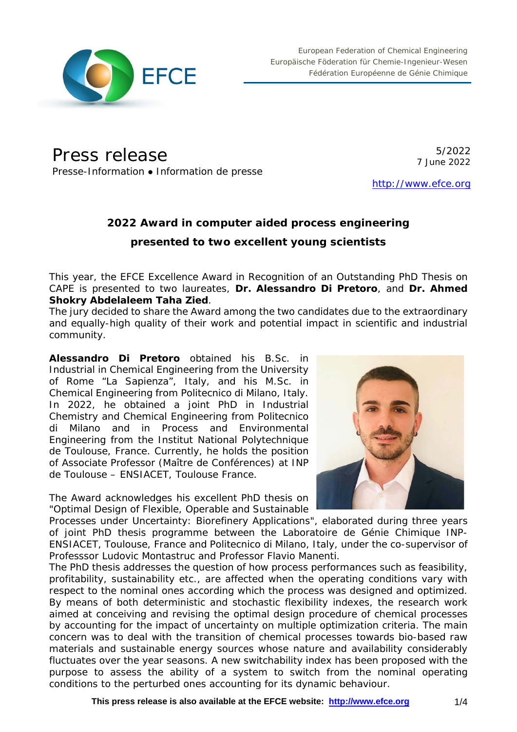

Press release

Presse-Information • Information de presse

5/2022 7 June 2022

[http://www.efce.org](http://www.efce.org/)

# **2022 Award in computer aided process engineering presented to two excellent young scientists**

This year, the EFCE Excellence Award in Recognition of an Outstanding PhD Thesis on CAPE is presented to two laureates, **Dr. Alessandro Di Pretoro**, and **Dr. Ahmed Shokry Abdelaleem Taha Zied**.

The jury decided to share the Award among the two candidates due to the extraordinary and equally-high quality of their work and potential impact in scientific and industrial community.

**Alessandro Di Pretoro** obtained his B.Sc. in Industrial in Chemical Engineering from the University of Rome "La Sapienza", Italy, and his M.Sc. in Chemical Engineering from Politecnico di Milano, Italy. In 2022, he obtained a joint PhD in Industrial Chemistry and Chemical Engineering from Politecnico di Milano and in Process and Environmental Engineering from the Institut National Polytechnique de Toulouse, France. Currently, he holds the position of Associate Professor (Maître de Conférences) at INP de Toulouse – ENSIACET, Toulouse France.

The Award acknowledges his excellent PhD thesis on "*Optimal Design of Flexible, Operable and Sustainable* 

*Processes under Uncertainty: Biorefinery Applications*", elaborated during three years of joint PhD thesis programme between the Laboratoire de Génie Chimique INP-ENSIACET, Toulouse, France and Politecnico di Milano, Italy, under the co-supervisor of Professsor Ludovic Montastruc and Professor Flavio Manenti.

The PhD thesis addresses the question of how process performances such as feasibility, profitability, sustainability etc., are affected when the operating conditions vary with respect to the nominal ones according which the process was designed and optimized. By means of both deterministic and stochastic flexibility indexes, the research work aimed at conceiving and revising the optimal design procedure of chemical processes by accounting for the impact of uncertainty on multiple optimization criteria. The main concern was to deal with the transition of chemical processes towards bio-based raw materials and sustainable energy sources whose nature and availability considerably fluctuates over the year seasons. A new switchability index has been proposed with the purpose to assess the ability of a system to switch from the nominal operating conditions to the perturbed ones accounting for its dynamic behaviour.

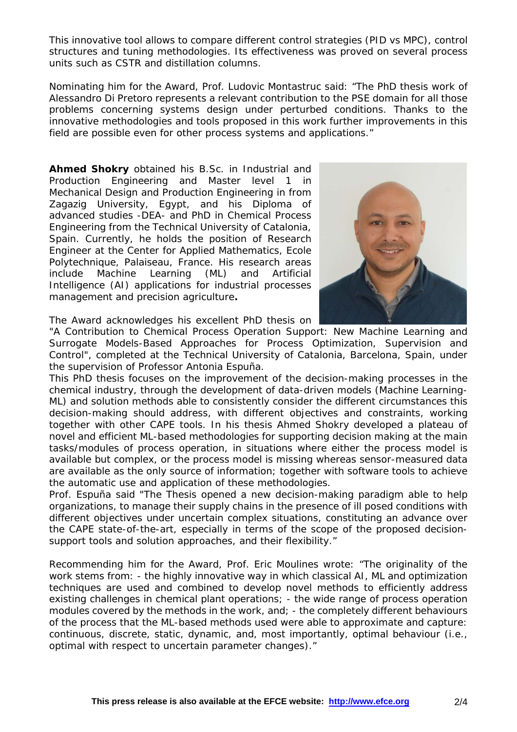This innovative tool allows to compare different control strategies (PID vs MPC), control structures and tuning methodologies. Its effectiveness was proved on several process units such as CSTR and distillation columns.

Nominating him for the Award, Prof. Ludovic Montastruc said: "The PhD thesis work of Alessandro Di Pretoro represents a relevant contribution to the PSE domain for all those problems concerning systems design under perturbed conditions. Thanks to the innovative methodologies and tools proposed in this work further improvements in this field are possible even for other process systems and applications."

**Ahmed Shokry** obtained his B.Sc. in Industrial and Production Engineering and Master level 1 in Mechanical Design and Production Engineering in from Zagazig University, Egypt, and his Diploma of advanced studies -DEA- and PhD in Chemical Process Engineering from the Technical University of Catalonia, Spain. Currently, he holds the position of Research Engineer at the Center for Applied Mathematics, Ecole Polytechnique, Palaiseau, France. His research areas include Machine Learning (ML) and Artificial Intelligence (AI) applications for industrial processes management and precision agriculture**.**



The Award acknowledges his excellent PhD thesis on

"*A Contribution to Chemical Process Operation Support: New Machine Learning and Surrogate Models-Based Approaches for Process Optimization, Supervision and Control*", completed at the Technical University of Catalonia, Barcelona, Spain, under the supervision of Professor Antonia Espuña.

This PhD thesis focuses on the improvement of the decision-making processes in the chemical industry, through the development of data-driven models (Machine Learning-ML) and solution methods able to consistently consider the different circumstances this decision-making should address, with different objectives and constraints, working together with other CAPE tools. In his thesis Ahmed Shokry developed a plateau of novel and efficient ML-based methodologies for supporting decision making at the main tasks/modules of process operation, in situations where either the process model is available but complex, or the process model is missing whereas sensor-measured data are available as the only source of information; together with software tools to achieve the automatic use and application of these methodologies.

Prof. Espuña said "The Thesis opened a new decision-making paradigm able to help organizations, to manage their supply chains in the presence of ill posed conditions with different objectives under uncertain complex situations, constituting an advance over the CAPE state-of-the-art, especially in terms of the scope of the proposed decisionsupport tools and solution approaches, and their flexibility."

Recommending him for the Award, Prof. Eric Moulines wrote: "The originality of the work stems from: - the highly innovative way in which classical AI, ML and optimization techniques are used and combined to develop novel methods to efficiently address existing challenges in chemical plant operations; - the wide range of process operation modules covered by the methods in the work, and; - the completely different behaviours of the process that the ML-based methods used were able to approximate and capture: continuous, discrete, static, dynamic, and, most importantly, optimal behaviour (i.e., optimal with respect to uncertain parameter changes)."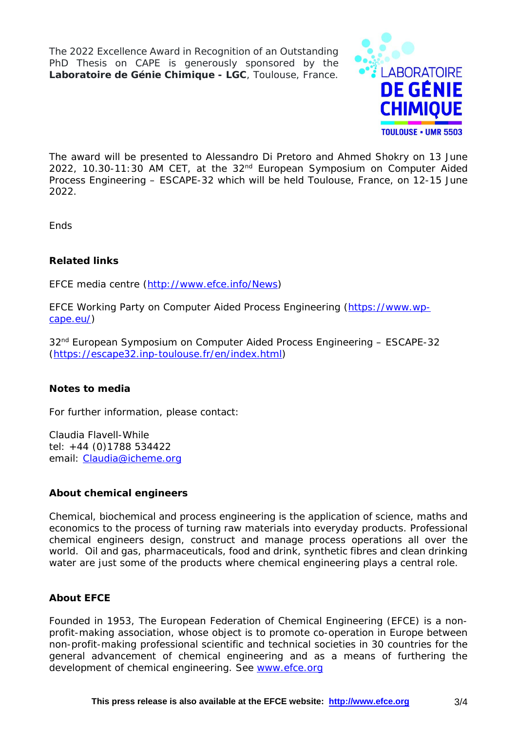The 2022 Excellence Award in Recognition of an Outstanding PhD Thesis on CAPE is generously sponsored by the **Laboratoire de Génie Chimique - LGC**, Toulouse, France.



The award will be presented to Alessandro Di Pretoro and Ahmed Shokry on 13 June 2022, 10.30-11:30 AM CET, at the 32nd European Symposium on Computer Aided Process Engineering – ESCAPE-32 which will be held Toulouse, France, on 12-15 June 2022.

**Fnds** 

## **Related links**

EFCE media centre [\(http://www.efce.info/News\)](http://www.efce.info/News)

EFCE Working Party on Computer Aided Process Engineering [\(https://www.wp](https://www.wp-cape.eu/)[cape.eu/\)](https://www.wp-cape.eu/)

32<sup>nd</sup> European Symposium on Computer Aided Process Engineering - ESCAPE-32 [\(https://escape32.inp-toulouse.fr/en/index.html\)](https://escape32.inp-toulouse.fr/en/index.html)

## **Notes to media**

For further information, please contact:

Claudia Flavell-While tel: +44 (0)1788 534422 email: [Claudia@icheme.org](mailto:Claudia@icheme.org)

## **About chemical engineers**

Chemical, biochemical and process engineering is the application of science, maths and economics to the process of turning raw materials into everyday products. Professional chemical engineers design, construct and manage process operations all over the world. Oil and gas, pharmaceuticals, food and drink, synthetic fibres and clean drinking water are just some of the products where chemical engineering plays a central role.

## **About EFCE**

Founded in 1953, The European Federation of Chemical Engineering (EFCE) is a nonprofit-making association, whose object is to promote co-operation in Europe between non-profit-making professional scientific and technical societies in 30 countries for the general advancement of chemical engineering and as a means of furthering the development of chemical engineering. See [www.efce.org](http://www.efce.org/)